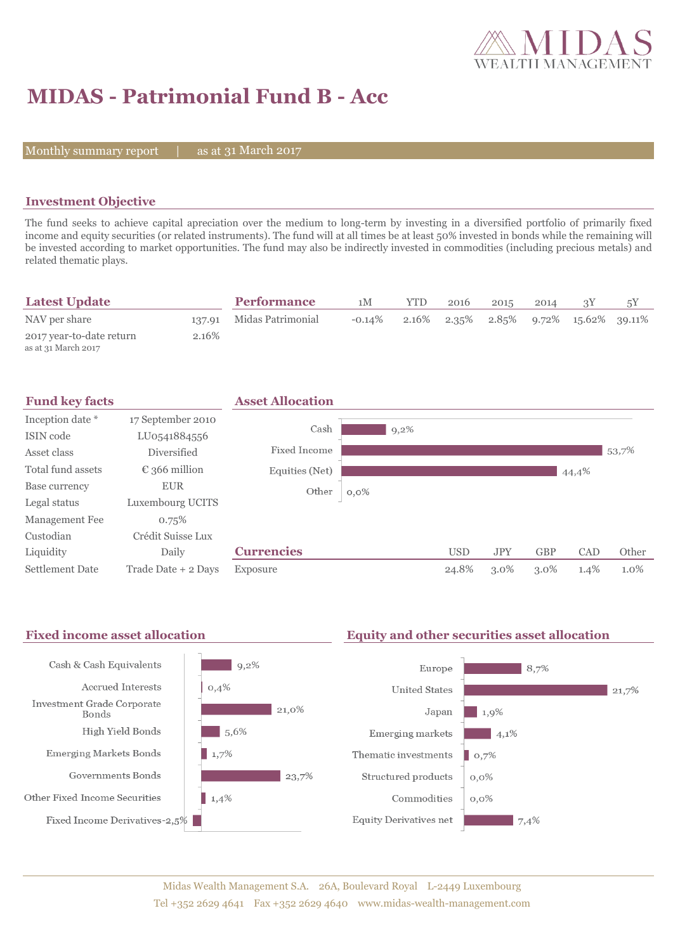

# **MIDAS - Patrimonial Fund B - Acc**

Monthly summary report  $|$ 

as at 31 March 2017

## **Investment Objective**

The fund seeks to achieve capital apreciation over the medium to long-term by investing in a diversified portfolio of primarily fixed income and equity securities (or related instruments). The fund will at all times be at least 50% invested in bonds while the remaining will be invested according to market opportunities. The fund may also be indirectly invested in commodities (including precious metals) and related thematic plays.

| <b>Latest Update</b>                            |        | <b>Performance</b> | 1M        | YTD | 2016 | 2015 | 2014 |                                                         |  |
|-------------------------------------------------|--------|--------------------|-----------|-----|------|------|------|---------------------------------------------------------|--|
| NAV per share                                   | 137.91 | Midas Patrimonial  | $-0.14\%$ |     |      |      |      | $2.16\%$ $2.35\%$ $2.85\%$ $9.72\%$ $15.62\%$ $39.11\%$ |  |
| 2017 year-to-date return<br>as at 31 March 2017 | 2.16%  |                    |           |     |      |      |      |                                                         |  |



### Fixed income asset allocation **Equity and other securities asset allocation**

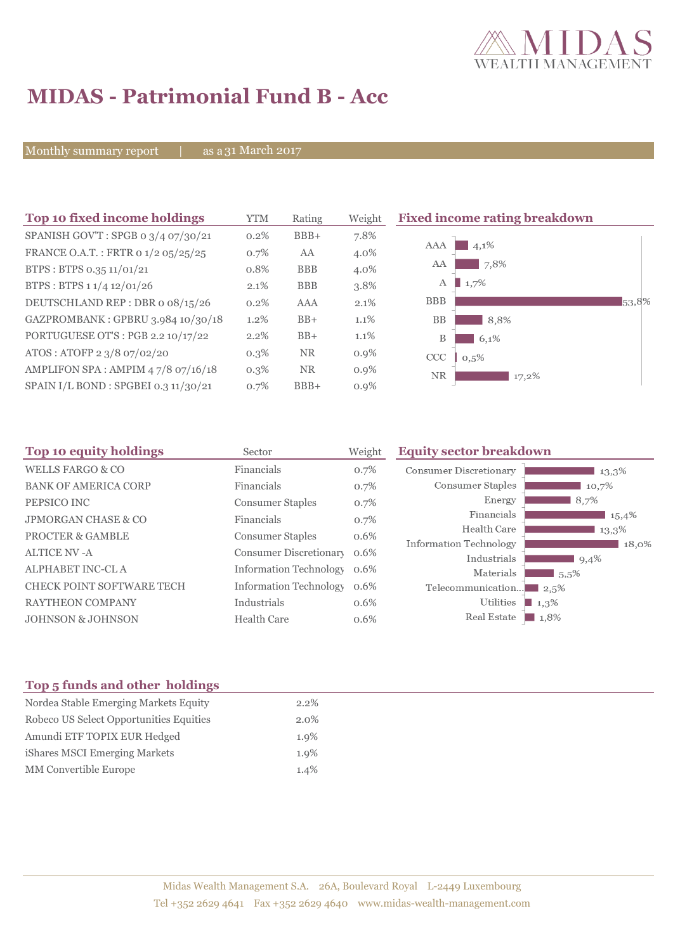

# **MIDAS - Patrimonial Fund B - Acc**

Monthly summary report | as a 31 March 2017

| Top 10 fixed income holdings         | YTM     | Rating     | Weight  | <b>Fixed income rating breakdown</b> |
|--------------------------------------|---------|------------|---------|--------------------------------------|
| SPANISH GOV'T: SPGB 0 3/4 07/30/21   | 0.2%    | $BBB+$     | 7.8%    |                                      |
| FRANCE O.A.T.: FRTR 0 1/2 05/25/25   | 0.7%    | AA         | 4.0%    | AAA<br>4,1%                          |
| BTPS: BTPS 0.35 11/01/21             | 0.8%    | <b>BBB</b> | 4.0%    | 7,8%<br>AA                           |
| BTPS: BTPS 1 1/4 12/01/26            | 2.1%    | <b>BBB</b> | 3.8%    | 1,7%<br>А                            |
| DEUTSCHLAND REP : DBR o 08/15/26     | $0.2\%$ | <b>AAA</b> | 2.1%    | <b>BBB</b><br>53,8%                  |
| GAZPROMBANK: GPBRU 3.984 10/30/18    | 1.2%    | $BB+$      | 1.1%    | <b>BB</b><br>8,8%                    |
| PORTUGUESE OT'S : PGB 2.2 10/17/22   | 2.2%    | $BB+$      | $1.1\%$ | B<br>6.1%                            |
| ATOS: ATOFP 2 3/8 07/02/20           | $0.3\%$ | <b>NR</b>  | $0.9\%$ | <b>CCC</b><br>0,5%                   |
| AMPLIFON SPA: AMPIM 47/8 07/16/18    | $0.3\%$ | <b>NR</b>  | $0.9\%$ | NR.<br>17,2%                         |
| SPAIN I/L BOND : SPGBEI 0.3 11/30/21 | 0.7%    | $BBB+$     | $0.9\%$ |                                      |

| Top 10 equity holdings<br>Sector |                               | Weight | <b>Equity sector breakdown</b>        |                     |  |
|----------------------------------|-------------------------------|--------|---------------------------------------|---------------------|--|
| <b>WELLS FARGO &amp; CO</b>      | Financials                    | 0.7%   | <b>Consumer Discretionary</b>         | 13,3%               |  |
| <b>BANK OF AMERICA CORP</b>      | Financials                    | 0.7%   | Consumer Staples                      | 10,7%               |  |
| PEPSICO INC                      | <b>Consumer Staples</b>       | 0.7%   | Energy                                | 8,7%                |  |
| <b>JPMORGAN CHASE &amp; CO</b>   | Financials                    | 0.7%   | Financials                            | $15,4\%$            |  |
| <b>PROCTER &amp; GAMBLE</b>      | <b>Consumer Staples</b>       | 0.6%   | Health Care                           | 13,3%               |  |
| <b>ALTICE NV-A</b>               | Consumer Discretionary        | 0.6%   | Information Technology<br>Industrials | 18,0%<br>9,4%       |  |
| ALPHABET INC-CLA                 | <b>Information Technology</b> | 0.6%   | Materials                             | 5,5%                |  |
| <b>CHECK POINT SOFTWARE TECH</b> | <b>Information Technology</b> | 0.6%   | Telecommunication                     | $\Box$ 2.5%         |  |
| <b>RAYTHEON COMPANY</b>          | Industrials                   | 0.6%   | Utilities                             | 1,3%                |  |
| <b>JOHNSON &amp; JOHNSON</b>     | <b>Health Care</b>            | 0.6%   | Real Estate                           | $\blacksquare$ 1,8% |  |

## **Top 5 funds and other holdings**

| Nordea Stable Emerging Markets Equity   | $2.2\%$ |
|-----------------------------------------|---------|
| Robeco US Select Opportunities Equities | $2.0\%$ |
| Amundi ETF TOPIX EUR Hedged             | $1.9\%$ |
| iShares MSCI Emerging Markets           | $1.9\%$ |
| <b>MM</b> Convertible Europe            | 1.4%    |